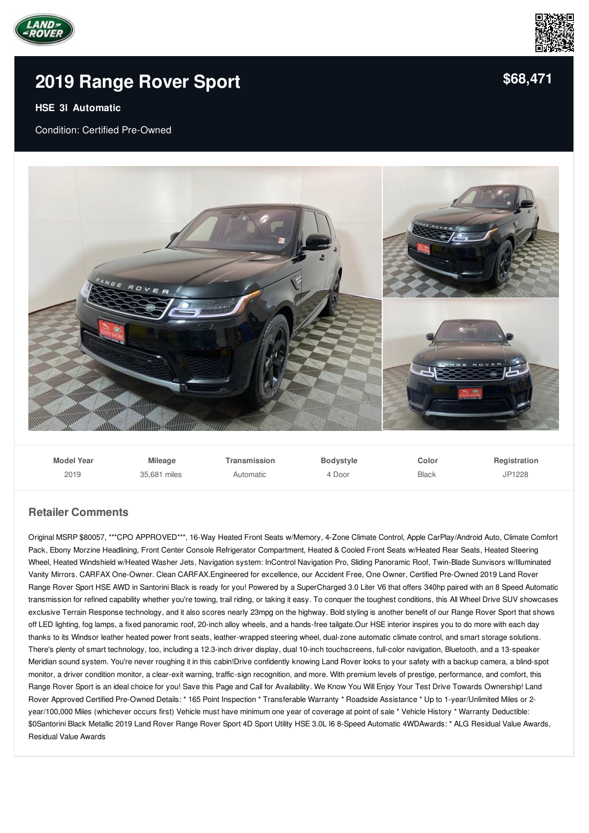



# **2019 [Range](/used-certified/pdf/) Rover Sport**

#### **HSE 3l Automatic**

Condition: Certified Pre-Owned



| <b>Model Year</b> | <b>Mileage</b> | Transmission | Bodystyle | Color        | Registration |
|-------------------|----------------|--------------|-----------|--------------|--------------|
| 2019              | 35.681 miles   | Automatic    | 4 Door    | <b>Black</b> | JP1228       |

### **Retailer Comments**

Original MSRP \$80057, \*\*\*CPO APPROVED\*\*\*, 16-Way Heated Front Seats w/Memory, 4-Zone Climate Control, Apple CarPlay/Android Auto, Climate Comfort Pack, Ebony Morzine Headlining, Front Center Console Refrigerator Compartment, Heated & Cooled Front Seats w/Heated Rear Seats, Heated Steering Wheel, Heated Windshield w/Heated Washer Jets, Navigation system: InControl Navigation Pro, Sliding Panoramic Roof, Twin-Blade Sunvisors w/Illuminated Vanity Mirrors. CARFAX One-Owner. Clean CARFAX.Engineered for excellence, our Accident Free, One Owner, Certified Pre-Owned 2019 Land Rover Range Rover Sport HSE AWD in Santorini Black is ready for you! Powered by a SuperCharged 3.0 Liter V6 that offers 340hp paired with an 8 Speed Automatic transmission for refined capability whether you're towing, trail riding, or taking it easy. To conquer the toughest conditions, this All Wheel Drive SUV showcases exclusive Terrain Response technology, and it also scores nearly 23mpg on the highway. Bold styling is another benefit of our Range Rover Sport that shows off LED lighting, fog lamps, a fixed panoramic roof, 20-inch alloy wheels, and a hands-free tailgate.Our HSE interior inspires you to do more with each day thanks to its Windsor leather heated power front seats, leather-wrapped steering wheel, dual-zone automatic climate control, and smart storage solutions. There's plenty of smart technology, too, including a 12.3-inch driver display, dual 10-inch touchscreens, full-color navigation, Bluetooth, and a 13-speaker Meridian sound system. You're never roughing it in this cabin!Drive confidently knowing Land Rover looks to your safety with a backup camera, a blind-spot monitor, a driver condition monitor, a clear-exit warning, traffic-sign recognition, and more. With premium levels of prestige, performance, and comfort, this Range Rover Sport is an ideal choice for you! Save this Page and Call for Availability. We Know You Will Enjoy Your Test Drive Towards Ownership! Land Rover Approved Certified Pre-Owned Details: \* 165 Point Inspection \* Transferable Warranty \* Roadside Assistance \* Up to 1-year/Unlimited Miles or 2 year/100,000 Miles (whichever occurs first) Vehicle must have minimum one year of coverage at point of sale \* Vehicle History \* Warranty Deductible: \$0Santorini Black Metallic 2019 Land Rover Range Rover Sport 4D Sport Utility HSE 3.0L I6 8-Speed Automatic 4WDAwards: \* ALG Residual Value Awards, Residual Value Awards

**[\\$68,471](/used-certified/pdf/)**